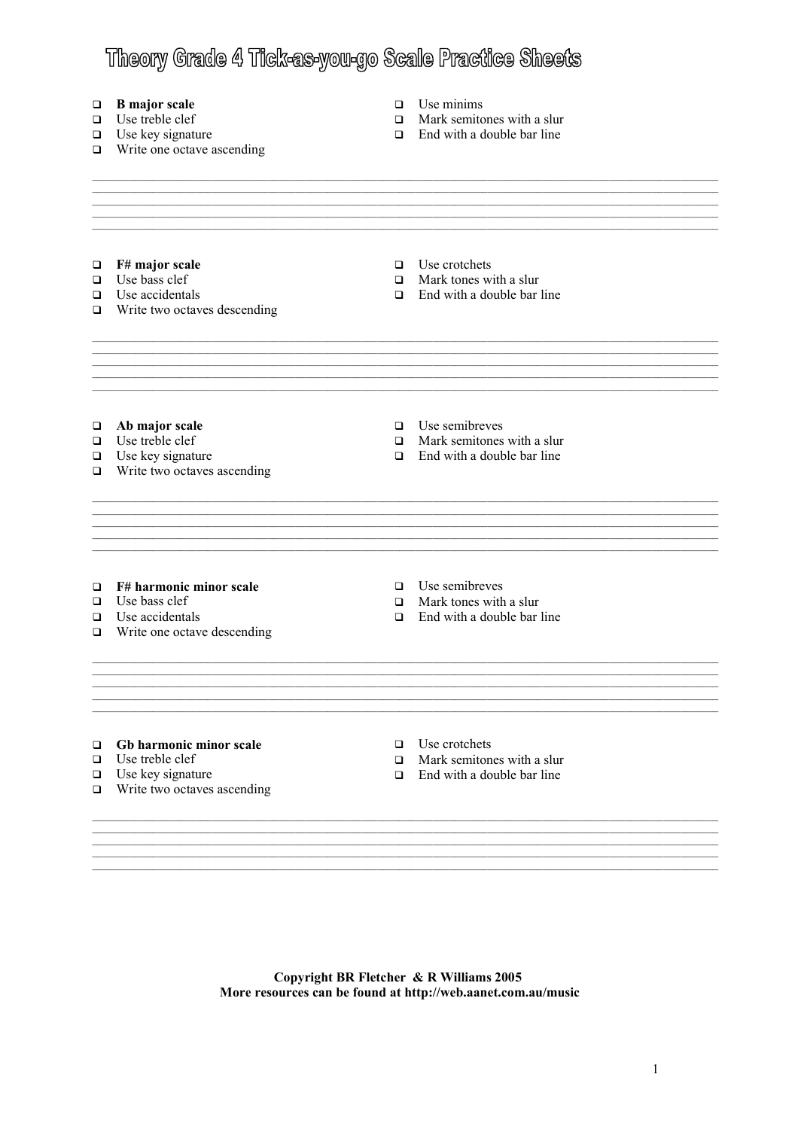# Theory Grade 4 Tick-as-you-go Scale Practice Sheets

#### **B** major scale  $\Box$

- $\Box$  Use treble clef
- $\Box$  Use key signature
- $\Box$  Write one octave ascending
- $\Box$  Use minims
- $\Box$  Mark semitones with a slur
- $\Box$  End with a double bar line

 $\Box$  Use crotchets  $\Box$  F# major scale  $\Box$  Use bass clef  $\Box$  Mark tones with a slur  $\Box$  Use accidentals  $\Box$  End with a double bar line  $\Box$  Write two octaves descending  $\Box$  Ab major scale  $\Box$  Use semibreves  $\Box$  Use treble clef  $\Box$  Mark semitones with a slur  $\Box$  Use key signature  $\Box$  End with a double bar line  $\Box$  Write two octaves ascending  $\Box$  F# harmonic minor scale  $\Box$  Use semibreves  $\Box$ Use bass clef  $\Box$  Mark tones with a slur  $\Box$ Use accidentals  $\Box$  End with a double bar line  $\Box$  Write one octave descending  $\Box$  Gb harmonic minor scale  $\Box$  Use crotchets  $\Box$  Use treble clef  $\Box$  Mark semitones with a slur  $\Box$  Use key signature  $\Box$  End with a double bar line  $\Box$  Write two octaves ascending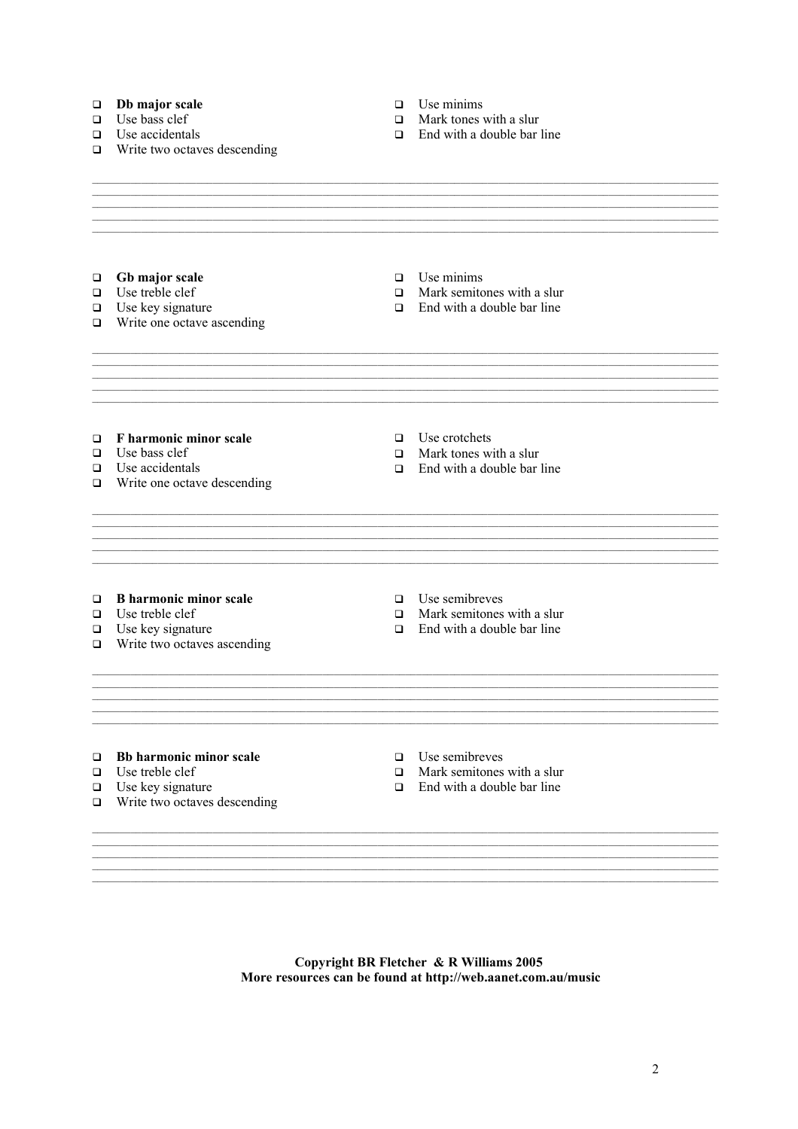#### $\Box$  Db major scale

- $\Box$  Use bass clef
- $\Box$  Use accidentals
- $\Box$  Write two octaves descending
- $\Box$  Use minims
- $\Box$  Mark tones with a slur
- $\Box$  End with a double bar line

 $\Box$  Gb major scale

- $\Box$  Use treble clef
- $\Box$  Use key signature
- $\Box$  Write one octave ascending
- $\Box$  Use minims
- $\Box$  Mark semitones with a slur
- $\Box$  End with a double bar line

 $\Box$  F harmonic minor scale

- $\Box$  Use bass clef
- $\Box$  Use accidentals
- $\Box$  Write one octave descending

 $\Box$  Use crotchets

- $\Box$  Mark tones with a slur
- $\Box$  End with a double bar line

- $\Box$  B harmonic minor scale
- $\Box$  Use treble clef
- $\Box$  Use key signature
- $\Box$  Write two octaves ascending
- $\Box$  Use semibreves
- $\Box$  Mark semitones with a slur
- $\Box$  End with a double bar line

- $\Box$  Bb harmonic minor scale
- $\Box$  Use treble clef
- $\Box$  Use key signature
- $\Box$  Write two octaves descending
- $\Box$  Use semibreves
- $\Box$  Mark semitones with a slur
- $\Box$  End with a double bar line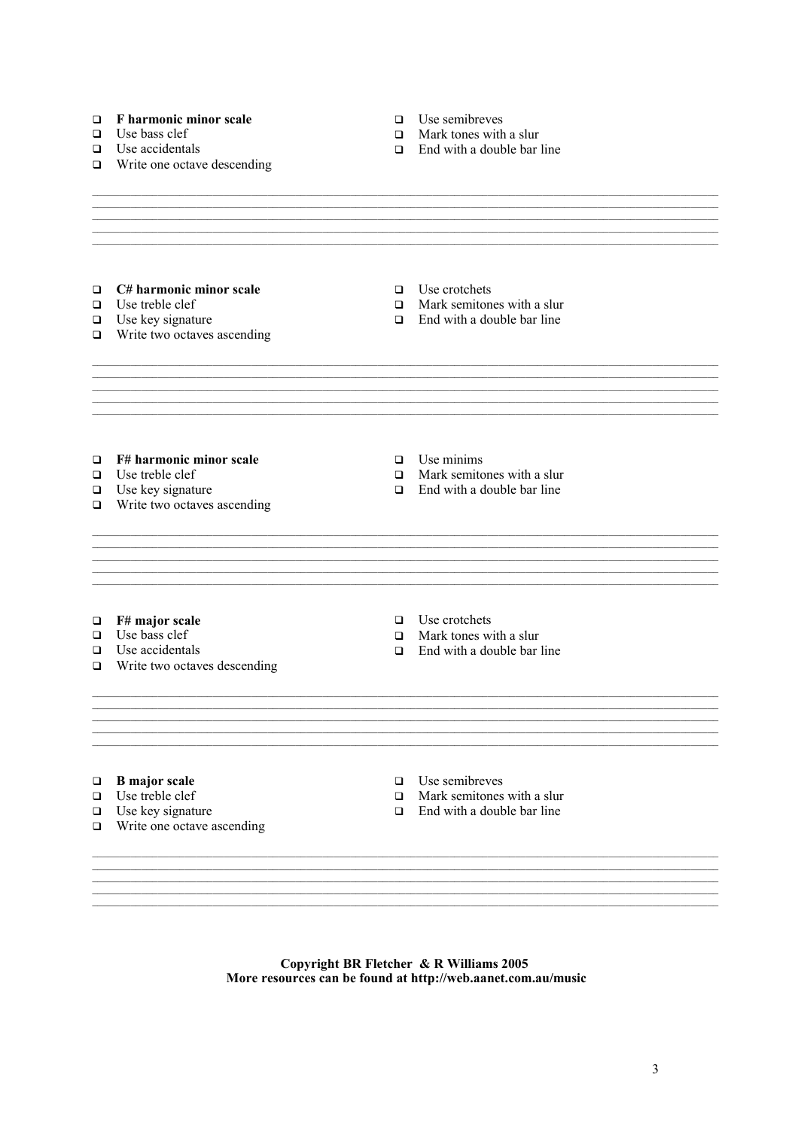## $\Box$  F harmonic minor scale

- $\Box$  Use bass clef
- $\Box$  Use accidentals
- $\Box$  Write one octave descending
- $\Box$  Use semibreves
- $\Box$  Mark tones with a slur
- $\Box$  End with a double bar line

- $\Box$  C# harmonic minor scale
- $\Box$  Use treble clef
- $\Box$  Use key signature
- $\Box$  Write two octaves ascending
- $\Box$  Use crotchets
- $\Box$  Mark semitones with a slur
- $\Box$  End with a double bar line

 $\Box$  F# harmonic minor scale

- $\Box$ Use treble clef
- $\Box$  Use treble cler<br> $\Box$  Use key signature
- $\Box$  Write two octaves ascending
- $\Box$  Use minims
- $\Box$  Mark semitones with a slur
- $\Box$  End with a double bar line

- $\Box$  F# major scale
- $\Box$  Use bass clef
- $\Box$  Use accidentals
- $\Box$  Write two octaves descending
- $\Box$  Use crotchets
- $\Box$  Mark tones with a slur
- $\Box$  End with a double bar line

- $\Box$  B major scale
- $\Box$  Use treble clef
- $\Box$  Use key signature
- $\Box$  Write one octave ascending
- $\Box$  Use semibreves
- $\Box$  Mark semitones with a slur
- $\Box$  End with a double bar line